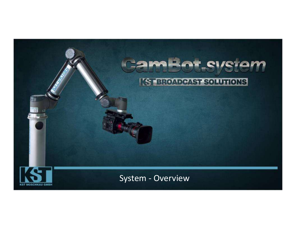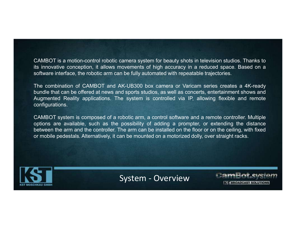CAMBOT is a motion-control robotic camera system for beauty shots in television studios. Thanks to<br>its innovative conception, it allows movements of high accuracy in a reduced space. Based on a<br>software interface, the rob CAMBOT is a motion-control robotic camera system for beauty shots in television studios. Thanks to<br>its innovative conception, it allows movements of high accuracy in a reduced space. Based on a<br>software interface, the robo CAMBOT is a motion-control robotic camera system for beauty shots in television studios. Thanks to<br>its innovative conception, it allows movements of high accuracy in a reduced space. Based on a<br>software interface, the robo

CAMBOT is a motion-control robotic camera system for beauty shots in television studios. Thanks to<br>its innovative conception, it allows movements of high accuracy in a reduced space. Based on a<br>software interface, the robo CAMBOT is a motion-control robotic camera system for beauty shots in television studios. Thanks to<br>its innovative conception, it allows movements of high accuracy in a reduced space. Based on a<br>software interface, the rob CAMBOT is a motion-control robotic camera system for beauty shots in television studios. Thanks to<br>its innovative conception, it allows movements of high accuracy in a reduced space. Based on a<br>software interface, the robo configurations. CAMBOT is a motion-control robotic camera system for beauty shots in television studios. Thanks to<br>its innovative conception, it allows movements of high accuracy in a reduced space. Based on a<br>software interface, the robo CAMBOT is a motion-control robotic camera system for beauty shots in television studios. Thanks to<br>its innovative conception, it allows movements of high accuracy in a reduced space. Based on a<br>software interface, the robo CAMBOT is a motion-control robotic camera system for beauty shots in television studios. Thanks to<br>its innovative conception, it allows movements of high accuracy in a reduced space. Based on a<br>software interface, the robo CAMBOT is a motion-control robotic camera system for beauty shots in television studios. Thanks to<br>its innovative conception, it allows movements of high accuracy in a reduced space. Based on a<br>software interface, the robo

AR-UBSOU DOX Camera OF varicant senses creates a 4A-Teady<br>of sports studios, as well as concerts, entertainment shows and<br>e system is controlled via IP, allowing flexible and remote<br>obotic arm, a control software and a rem

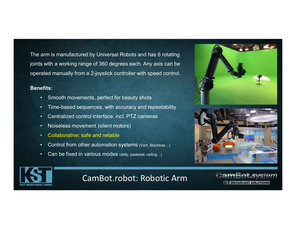The arm is manufactured by Universal Robots and has 6 rotating joints with a working range of 360 degrees each. Any axis can be operated manually from a 2-joystick controller with speed control. arm is manufactured by Universal Robots and has 6 rotating<br>• Smooth movements and the Section movements, perfect for beauty shots<br>• Smooth movements, perfect for beauty shots<br>• Time-based sequences, with accuracy and repea Frame is manufactured by Universal Robots and has 6 rotating<br>
is with a working range of 360 degrees each. Any axis can be<br>
ated manually from a 2-joystick controller with speed control.<br>
First:<br>
• Smooth movements, perfec Frame is manufactured by Universal Robots and has 6 rotating<br>
• Solid a working range of 360 degrees each. Any axis can be<br>
eted manually from a 2-joystick controller with speed control.<br>
• Smooth movements, perfect for be arm is manufactured by Universal Robots and has 6 rota<br>
s with a working range of 360 degrees each. Any axis ca<br>
ated manually from a 2-joystick controller with speed cor<br>
efits:<br>
• Smooth movements, perfect for beauty sho arm is manufactured by Universal Robots and has 6 rotating<br>
s with a working range of 360 degrees each. Any axis can be<br>
ated manually from a 2-joystick controller with speed control.<br>
efits:<br>
• Smooth movements, perfect f Frame is manufactured by Universal Robots and has 6 rotating<br>Fig. with a working range of 360 degrees each. Any axis can be<br>ated manually from a 2-joystick controller with speed control.<br>
Fits:<br>
• Smooth movements, perfect Fixed in a working range of 360 degrees each. Any axis can be ated manually from a 2-joystick controller with speed control.<br>
efits:<br>
• Smooth movements, perfect for beauty shots<br>
• Time-based sequences, with accuracy and

### Benefits:

- 
- 
- 
- 
- 
- 
- 







# CamBot.robot: Robotic Arm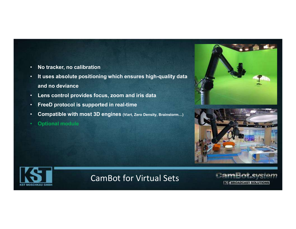- No tracker, no calibration
- It uses absolute positioning which ensures high-quality data and no deviance
- Lens control provides focus, zoom and iris data
- FreeD protocol is supported in real-time
- Compatible with most 3D engines (Vizrt, Zero Density, Brainstorm…)
- **Optional module**







# CamBot for Virtual Sets

**K-T BROADCAST SOLUT**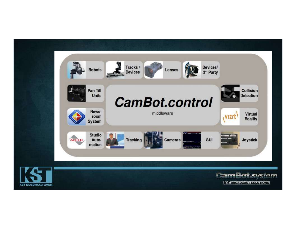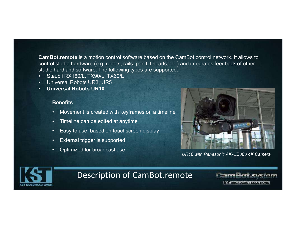CamBot.remote is a motion control software based on the CamBot.control network. It allows to<br>control studio hardware (e.g. robots, rails, pan tilt heads, . . . ) and integrates feedback of other<br>studio hard and software. T control studio hardware (e.g. robots, rails, pan tilt heads,. . . ) and integrates feedback of other studio hard and software. The following types are supported: CamBot.remote is a motion control software based on the CamBot.remote is a motion control software based on the CamBot<br>control studio hardware (e.g. robots, rails, pan tilt heads, . . . ) and<br>studio hard and software. The CamBot.remote is a motion control software based on the Control studio hardware (e.g. robots, rails, pan tilt heads, . . . studio hard and software. The following types are supported<br>• Staubli RX160/L, TX90/L, TX60/L<br>• Uni Fraction Contract is a motion control software based on the CamBot.control network. It and all studio hardware (e.g. robots, rails, pan tilt heads, . . . ) and integrates feedback of analli RX160/L, TX90/L, TX60/L<br>aubil RX **Follow Solffice Solf Solffice and Solffice and Solffice and Solffice and Solffice and Solffice at anytic hard and software. The following types are supported:<br>
aubli RX160/L, TX90/L, TX60/L<br>
ilversal Robots UR3, UR5<br>
ilv** And the Campbot control software based on the Campbot control net<br>
In studio hardware (e.g. robots, rails, pan tilt heads, . . . ) and integrates for<br>
hard and software. The following types are supported:<br>
aubli RX160/L, Actremote is a motion control software based on the CamBol studio hardware (e.g. robots, rails, pan tilt heads, . . . ) and<br>hard and software. The following types are supported:<br>aubli RX160/L, TX90/L, TX60/L<br>niversal Robo **Sot.remote** is a motion control software based on the Ca<br>
I studio hardware (e.g. robots, rails, pan tilt heads, . . . ) a<br>
hard and software. The following types are supported:<br>
aubli RX160/L, TX90/L, TX60/L<br>
ilversal Ro

- 
- 
- Universal Robots UR10

#### **Benefits**

- 
- 
- 
- 
- 



UR10 with Panasonic AK-UB300 4K Camera



# Description of CamBot.remote

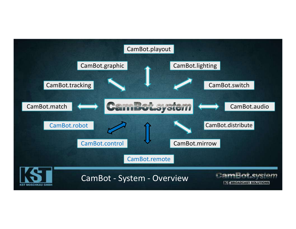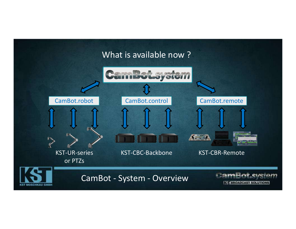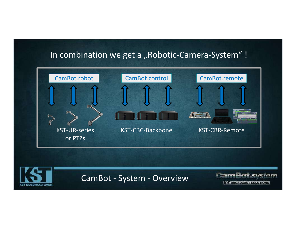# In combination we get a "Robotic-Camera-System" !

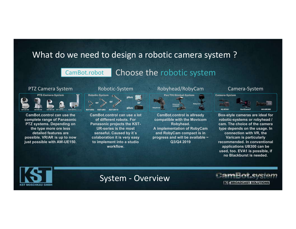# What do we need to design a robotic camera system ? What do we need to design a robotic camera system?<br>
CamBot.robot Choose the robotic system<br>
PTZ Camera System Robotic-System Robyhead/RobyCam Camera-System<br>
PTZ Camera System Robotic-System Robyhead/RobyCam Camera-System<br>

## CamBot.robot

## Choose the robotic system



CamBot.control can use the complete range of Panasonic PTZ systems. Depending on the type more ore less detailed features are possible. VR/AR is up to now just possible with AW-UE150.



CamBot.control can use a lot of different robots. For Panasonic projects the KST-UR-series is the most senseful. Caused by it´s colaboration it is very easy to implement into a studio workflow.

# Robotic-System



CamBot.control is allready compatible with the Movicom Robyhead. A implementation of RobyCam and RobyCam compact is in progress and will be available ~

### Camera-System



Q3/Q4 2019 recommended. In conventional Notic-System Robyhead/RobyCam Camera-System<br>
Material properties and properties and properties and properties and the motion of the Movicon of Camera-System and RobyCam different robots. For compatible with the Movicon rob Box-style cameras are ideal for robotic-systems or robyhead / cam. The choice of the camera type depends on the usage. In connection with VR, the Varicam is particularly applications UB300 can be used, too. EVA1 is possible, if no Blackburst is needed.